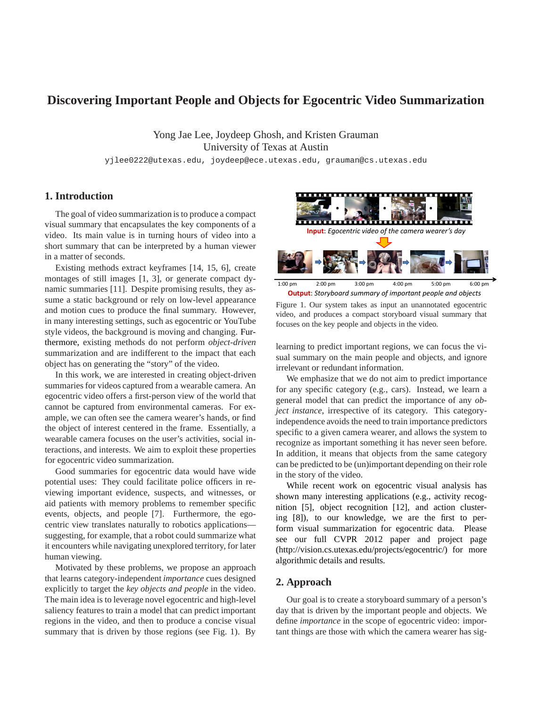# **Discovering Important People and Objects for Egocentric Video Summarization**

Yong Jae Lee, Joydeep Ghosh, and Kristen Grauman University of Texas at Austin

yjlee0222@utexas.edu, joydeep@ece.utexas.edu, grauman@cs.utexas.edu

## **1. Introduction**

The goal of video summarization is to produce a compact visual summary that encapsulates the key components of a video. Its main value is in turning hours of video into a short summary that can be interpreted by a human viewer in a matter of seconds.

Existing methods extract keyframes [14, 15, 6], create montages of still images [1, 3], or generate compact dynamic summaries [11]. Despite promising results, they assume a static background or rely on low-level appearance and motion cues to produce the final summary. However, in many interesting settings, such as egocentric or YouTube style videos, the background is moving and changing. Furthermore, existing methods do not perform *object-driven* summarization and are indifferent to the impact that each object has on generating the "story" of the video.

In this work, we are interested in creating object-driven summaries for videos captured from a wearable camera. An egocentric video offers a first-person view of the world that cannot be captured from environmental cameras. For example, we can often see the camera wearer's hands, or find the object of interest centered in the frame. Essentially, a wearable camera focuses on the user's activities, social interactions, and interests. We aim to exploit these properties for egocentric video summarization.

Good summaries for egocentric data would have wide potential uses: They could facilitate police officers in reviewing important evidence, suspects, and witnesses, or aid patients with memory problems to remember specific events, objects, and people [7]. Furthermore, the egocentric view translates naturally to robotics applications suggesting, for example, that a robot could summarize what it encounters while navigating unexplored territory, for later human viewing.

Motivated by these problems, we propose an approach that learns category-independent *importance* cues designed explicitly to target the *key objects and people* in the video. The main idea is to leverage novel egocentric and high-level saliency features to train a model that can predict important regions in the video, and then to produce a concise visual summary that is driven by those regions (see Fig. 1). By



**Output**: *Storyboard summary of important people and objects*  1:00 pm 2:00 pm 3:00 pm 4:00 pm 5:00 pm 6:00 pm Figure 1. Our system takes as input an unannotated egocentric video, and produces a compact storyboard visual summary that

learning to predict important regions, we can focus the visual summary on the main people and objects, and ignore irrelevant or redundant information.

focuses on the key people and objects in the video.

We emphasize that we do not aim to predict importance for any specific category (e.g., cars). Instead, we learn a general model that can predict the importance of any *object instance*, irrespective of its category. This categoryindependence avoids the need to train importance predictors specific to a given camera wearer, and allows the system to recognize as important something it has never seen before. In addition, it means that objects from the same category can be predicted to be (un)important depending on their role in the story of the video.

While recent work on egocentric visual analysis has shown many interesting applications (e.g., activity recognition [5], object recognition [12], and action clustering [8]), to our knowledge, we are the first to perform visual summarization for egocentric data. Please see our full CVPR 2012 paper and project page (http://vision.cs.utexas.edu/projects/egocentric/) for more algorithmic details and results.

## **2. Approach**

Our goal is to create a storyboard summary of a person's day that is driven by the important people and objects. We define *importance* in the scope of egocentric video: important things are those with which the camera wearer has sig-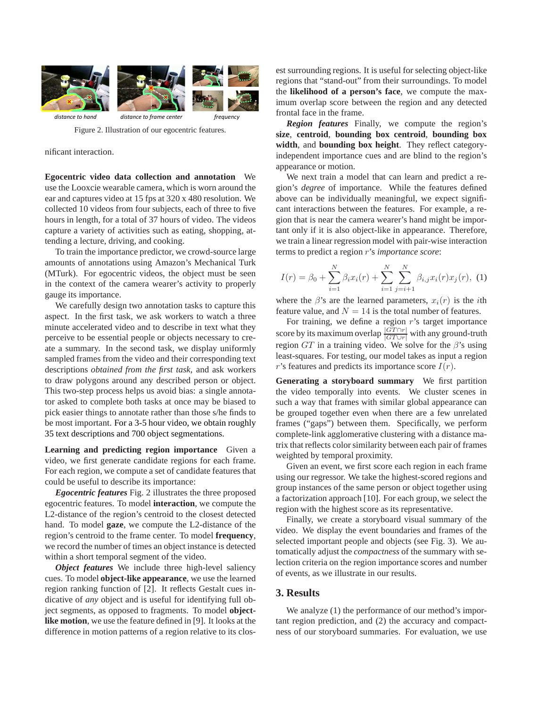

Figure 2. Illustration of our egocentric features.

nificant interaction.

**Egocentric video data collection and annotation** We use the Looxcie wearable camera, which is worn around the ear and captures video at 15 fps at 320 x 480 resolution. We collected 10 videos from four subjects, each of three to five hours in length, for a total of 37 hours of video. The videos capture a variety of activities such as eating, shopping, attending a lecture, driving, and cooking.

To train the importance predictor, we crowd-source large amounts of annotations using Amazon's Mechanical Turk (MTurk). For egocentric videos, the object must be seen in the context of the camera wearer's activity to properly gauge its importance.

We carefully design two annotation tasks to capture this aspect. In the first task, we ask workers to watch a three minute accelerated video and to describe in text what they perceive to be essential people or objects necessary to create a summary. In the second task, we display uniformly sampled frames from the video and their corresponding text descriptions *obtained from the first task*, and ask workers to draw polygons around any described person or object. This two-step process helps us avoid bias: a single annotator asked to complete both tasks at once may be biased to pick easier things to annotate rather than those s/he finds to be most important. For a 3-5 hour video, we obtain roughly 35 text descriptions and 700 object segmentations.

**Learning and predicting region importance** Given a video, we first generate candidate regions for each frame. For each region, we compute a set of candidate features that could be useful to describe its importance:

*Egocentric features* Fig. 2 illustrates the three proposed egocentric features. To model **interaction**, we compute the L2-distance of the region's centroid to the closest detected hand. To model **gaze**, we compute the L2-distance of the region's centroid to the frame center. To model **frequency**, we record the number of times an object instance is detected within a short temporal segment of the video.

*Object features* We include three high-level saliency cues. To model **object-like appearance**, we use the learned region ranking function of [2]. It reflects Gestalt cues indicative of *any* object and is useful for identifying full object segments, as opposed to fragments. To model **objectlike motion**, we use the feature defined in [9]. It looks at the difference in motion patterns of a region relative to its closest surrounding regions. It is useful for selecting object-like regions that "stand-out" from their surroundings. To model the **likelihood of a person's face**, we compute the maximum overlap score between the region and any detected frontal face in the frame.

*Region features* Finally, we compute the region's **size**, **centroid**, **bounding box centroid**, **bounding box width**, and **bounding box height**. They reflect categoryindependent importance cues and are blind to the region's appearance or motion.

We next train a model that can learn and predict a region's *degree* of importance. While the features defined above can be individually meaningful, we expect significant interactions between the features. For example, a region that is near the camera wearer's hand might be important only if it is also object-like in appearance. Therefore, we train a linear regression model with pair-wise interaction terms to predict a region r's *importance score*:

$$
I(r) = \beta_0 + \sum_{i=1}^{N} \beta_i x_i(r) + \sum_{i=1}^{N} \sum_{j=i+1}^{N} \beta_{i,j} x_i(r) x_j(r), \tag{1}
$$

where the  $\beta$ 's are the learned parameters,  $x_i(r)$  is the *i*th feature value, and  $N = 14$  is the total number of features.

For training, we define a region  $r$ 's target importance score by its maximum overlap  $\frac{|GT \cap r|}{|GT \cup r|}$  with any ground-truth region  $GT$  in a training video. We solve for the  $\beta$ 's using least-squares. For testing, our model takes as input a region r's features and predicts its importance score  $I(r)$ .

**Generating a storyboard summary** We first partition the video temporally into events. We cluster scenes in such a way that frames with similar global appearance can be grouped together even when there are a few unrelated frames ("gaps") between them. Specifically, we perform complete-link agglomerative clustering with a distance matrix that reflects color similarity between each pair of frames weighted by temporal proximity.

Given an event, we first score each region in each frame using our regressor. We take the highest-scored regions and group instances of the same person or object together using a factorization approach [10]. For each group, we select the region with the highest score as its representative.

Finally, we create a storyboard visual summary of the video. We display the event boundaries and frames of the selected important people and objects (see Fig. 3). We automatically adjust the *compactness* of the summary with selection criteria on the region importance scores and number of events, as we illustrate in our results.

#### **3. Results**

We analyze  $(1)$  the performance of our method's important region prediction, and (2) the accuracy and compactness of our storyboard summaries. For evaluation, we use